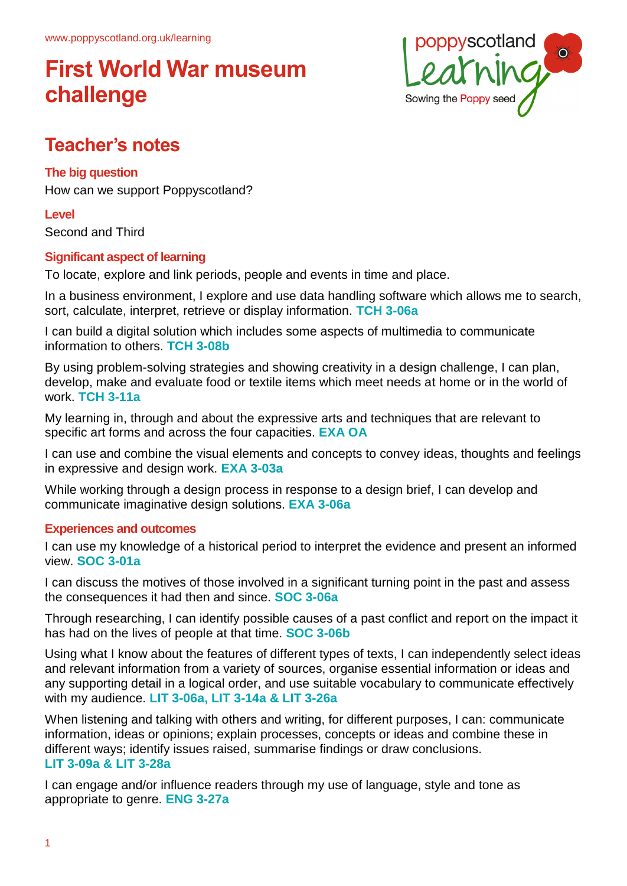

## **Teacher's notes**

### **The big question**

How can we support Poppyscotland?

### **Level**

Second and Third

### **Significant aspect of learning**

To locate, explore and link periods, people and events in time and place.

In a business environment, I explore and use data handling software which allows me to search, sort, calculate, interpret, retrieve or display information. **TCH 3-06a**

I can build a digital solution which includes some aspects of multimedia to communicate information to others. **TCH 3-08b**

By using problem-solving strategies and showing creativity in a design challenge, I can plan, develop, make and evaluate food or textile items which meet needs at home or in the world of work. **TCH 3-11a**

My learning in, through and about the expressive arts and techniques that are relevant to specific art forms and across the four capacities. **EXA OA**

I can use and combine the visual elements and concepts to convey ideas, thoughts and feelings in expressive and design work. **EXA 3-03a**

While working through a design process in response to a design brief, I can develop and communicate imaginative design solutions. **EXA 3-06a**

### **Experiences and outcomes**

I can use my knowledge of a historical period to interpret the evidence and present an informed view. **SOC 3-01a**

I can discuss the motives of those involved in a significant turning point in the past and assess the consequences it had then and since. **SOC 3-06a**

Through researching, I can identify possible causes of a past conflict and report on the impact it has had on the lives of people at that time. **SOC 3-06b**

Using what I know about the features of different types of texts, I can independently select ideas and relevant information from a variety of sources, organise essential information or ideas and any supporting detail in a logical order, and use suitable vocabulary to communicate effectively with my audience. **LIT 3-06a, LIT 3-14a & LIT 3-26a**

When listening and talking with others and writing, for different purposes, I can: communicate information, ideas or opinions; explain processes, concepts or ideas and combine these in different ways; identify issues raised, summarise findings or draw conclusions. **LIT 3-09a & LIT 3-28a**

I can engage and/or influence readers through my use of language, style and tone as appropriate to genre. **ENG 3-27a**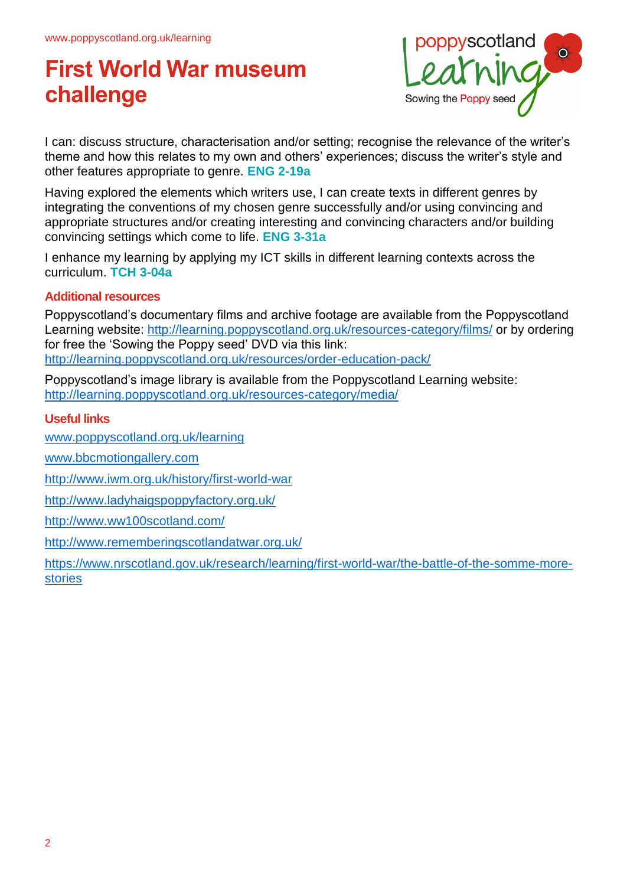

I can: discuss structure, characterisation and/or setting; recognise the relevance of the writer's theme and how this relates to my own and others' experiences; discuss the writer's style and other features appropriate to genre. **ENG 2-19a**

Having explored the elements which writers use, I can create texts in different genres by integrating the conventions of my chosen genre successfully and/or using convincing and appropriate structures and/or creating interesting and convincing characters and/or building convincing settings which come to life. **ENG 3-31a**

I enhance my learning by applying my ICT skills in different learning contexts across the curriculum. **TCH 3-04a**

### **Additional resources**

Poppyscotland's documentary films and archive footage are available from the Poppyscotland Learning website: http://learning.poppyscotland.org.uk/resources-category/films/ or by ordering for free the 'Sowing the Poppy seed' DVD via this link: http://learning.poppyscotland.org.uk/resources/order-education-pack/

Poppyscotland's image library is available from the Poppyscotland Learning website: http://learning.poppyscotland.org.uk/resources-category/media/

### **Useful links**

www.poppyscotland.org.uk/learning

www.bbcmotiongallery.com

http://www.iwm.org.uk/history/first-world-war

http://www.ladyhaigspoppyfactory.org.uk/

http://www.ww100scotland.com/

http://www.rememberingscotlandatwar.org.uk/

https://www.nrscotland.gov.uk/research/learning/first-world-war/the-battle-of-the-somme-morestories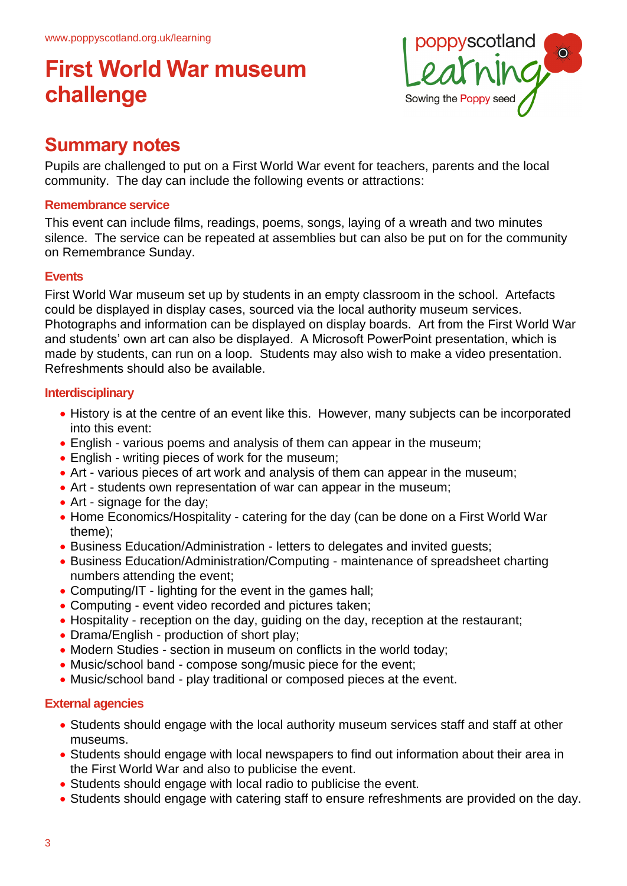

### **Summary notes**

Pupils are challenged to put on a First World War event for teachers, parents and the local community. The day can include the following events or attractions:

### **Remembrance service**

This event can include films, readings, poems, songs, laying of a wreath and two minutes silence. The service can be repeated at assemblies but can also be put on for the community on Remembrance Sunday.

### **Events**

First World War museum set up by students in an empty classroom in the school. Artefacts could be displayed in display cases, sourced via the local authority museum services. Photographs and information can be displayed on display boards. Art from the First World War and students' own art can also be displayed. A Microsoft PowerPoint presentation, which is made by students, can run on a loop. Students may also wish to make a video presentation. Refreshments should also be available.

### **Interdisciplinary**

- History is at the centre of an event like this. However, many subjects can be incorporated into this event:
- English various poems and analysis of them can appear in the museum;
- English writing pieces of work for the museum;
- Art various pieces of art work and analysis of them can appear in the museum;
- Art students own representation of war can appear in the museum;
- Art signage for the day;
- Home Economics/Hospitality catering for the day (can be done on a First World War theme);
- Business Education/Administration letters to delegates and invited guests;
- Business Education/Administration/Computing maintenance of spreadsheet charting numbers attending the event;
- Computing/IT lighting for the event in the games hall;
- Computing event video recorded and pictures taken;
- Hospitality reception on the day, guiding on the day, reception at the restaurant;
- Drama/English production of short play;
- Modern Studies section in museum on conflicts in the world today;
- Music/school band compose song/music piece for the event;
- Music/school band play traditional or composed pieces at the event.

### **External agencies**

- Students should engage with the local authority museum services staff and staff at other museums.
- Students should engage with local newspapers to find out information about their area in the First World War and also to publicise the event.
- Students should engage with local radio to publicise the event.
- Students should engage with catering staff to ensure refreshments are provided on the day.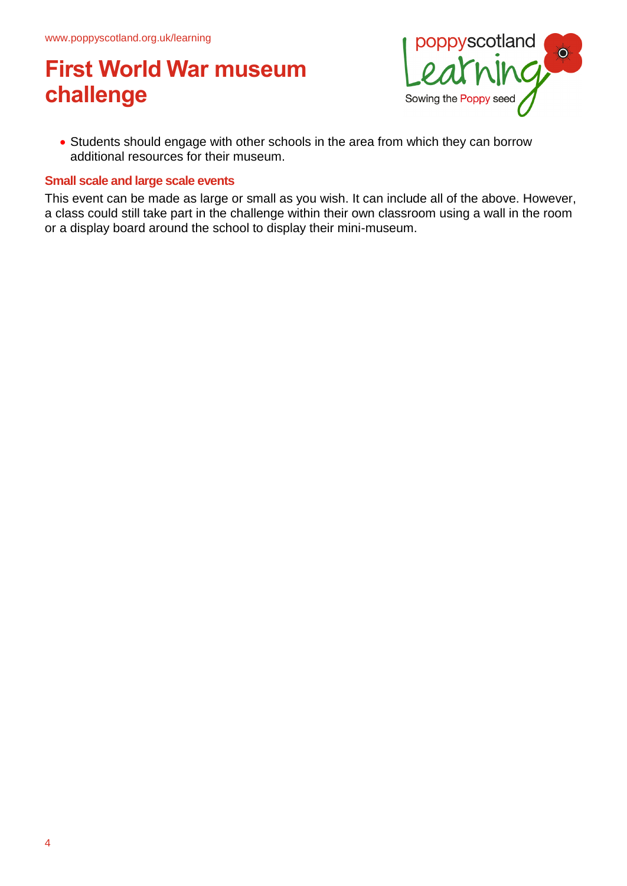

• Students should engage with other schools in the area from which they can borrow additional resources for their museum.

#### **Small scale and large scale events**

This event can be made as large or small as you wish. It can include all of the above. However, a class could still take part in the challenge within their own classroom using a wall in the room or a display board around the school to display their mini-museum.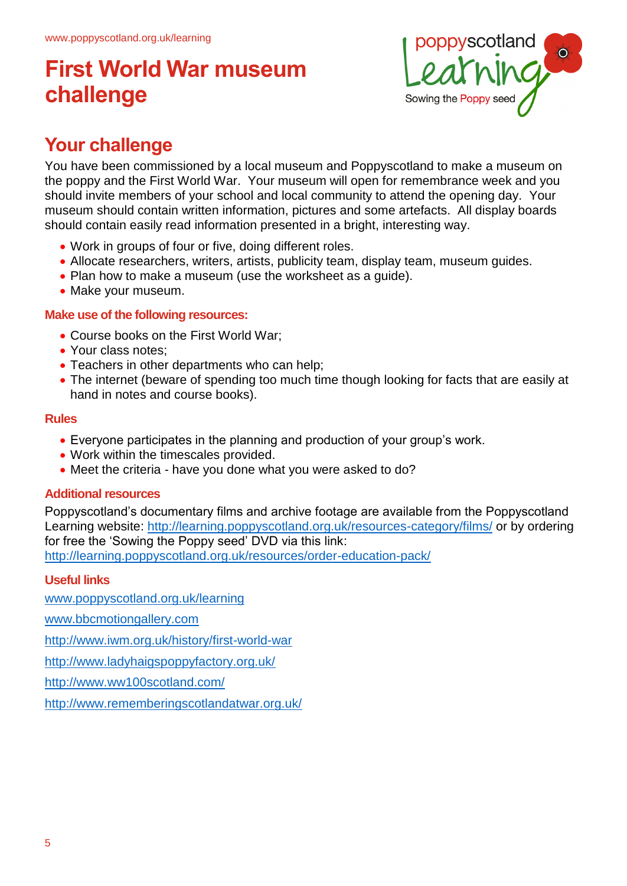

## **Your challenge**

You have been commissioned by a local museum and Poppyscotland to make a museum on the poppy and the First World War. Your museum will open for remembrance week and you should invite members of your school and local community to attend the opening day. Your museum should contain written information, pictures and some artefacts. All display boards should contain easily read information presented in a bright, interesting way.

- Work in groups of four or five, doing different roles.
- Allocate researchers, writers, artists, publicity team, display team, museum guides.
- Plan how to make a museum (use the worksheet as a guide).
- Make your museum.

### **Make use of the following resources:**

- Course books on the First World War:
- Your class notes:
- Teachers in other departments who can help;
- The internet (beware of spending too much time though looking for facts that are easily at hand in notes and course books).

### **Rules**

- Everyone participates in the planning and production of your group's work.
- Work within the timescales provided.
- Meet the criteria have you done what you were asked to do?

### **Additional resources**

Poppyscotland's documentary films and archive footage are available from the Poppyscotland Learning website: <http://learning.poppyscotland.org.uk/resources-category/films/> or by ordering for free the 'Sowing the Poppy seed' DVD via this link: <http://learning.poppyscotland.org.uk/resources/order-education-pack/>

### **Useful links**

[www.poppyscotland.org.uk/learning](http://www.poppyscotland.org.uk/learning)

[www.bbcmotiongallery.com](http://www.bbcmotiongallery.com/) 

<http://www.iwm.org.uk/history/first-world-war>

<http://www.ladyhaigspoppyfactory.org.uk/>

<http://www.ww100scotland.com/>

<http://www.rememberingscotlandatwar.org.uk/>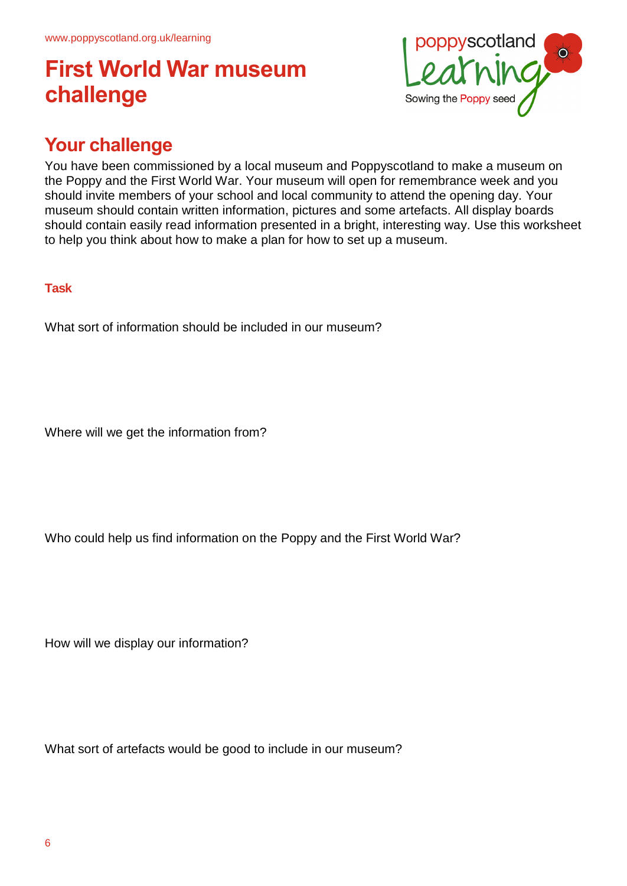

## **Your challenge**

You have been commissioned by a local museum and Poppyscotland to make a museum on the Poppy and the First World War. Your museum will open for remembrance week and you should invite members of your school and local community to attend the opening day. Your museum should contain written information, pictures and some artefacts. All display boards should contain easily read information presented in a bright, interesting way. Use this worksheet to help you think about how to make a plan for how to set up a museum.

### **Task**

What sort of information should be included in our museum?

Where will we get the information from?

Who could help us find information on the Poppy and the First World War?

How will we display our information?

What sort of artefacts would be good to include in our museum?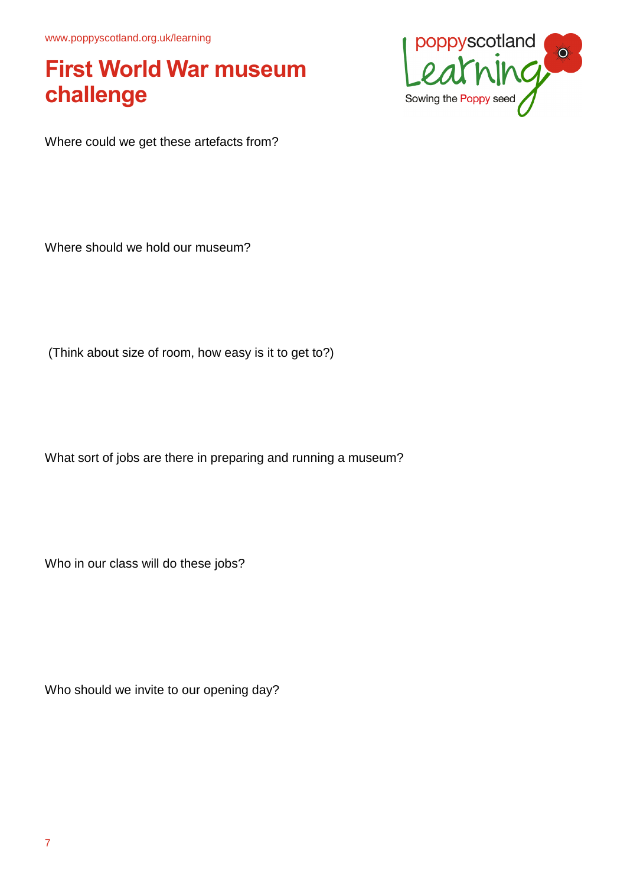www.poppyscotland.org.uk/learning

## **First World War museum challenge**



Where could we get these artefacts from?

Where should we hold our museum?

(Think about size of room, how easy is it to get to?)

What sort of jobs are there in preparing and running a museum?

Who in our class will do these jobs?

Who should we invite to our opening day?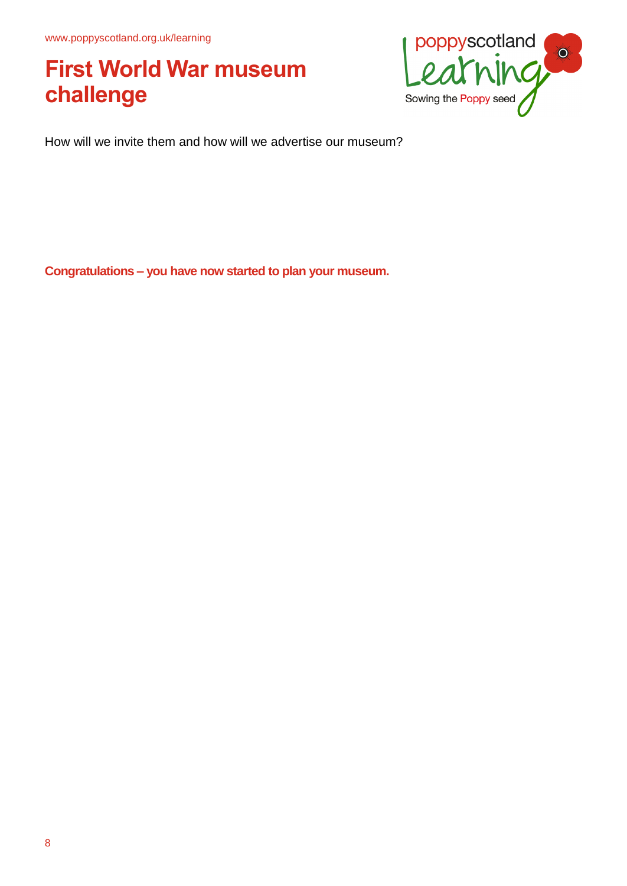

How will we invite them and how will we advertise our museum?

**Congratulations – you have now started to plan your museum.**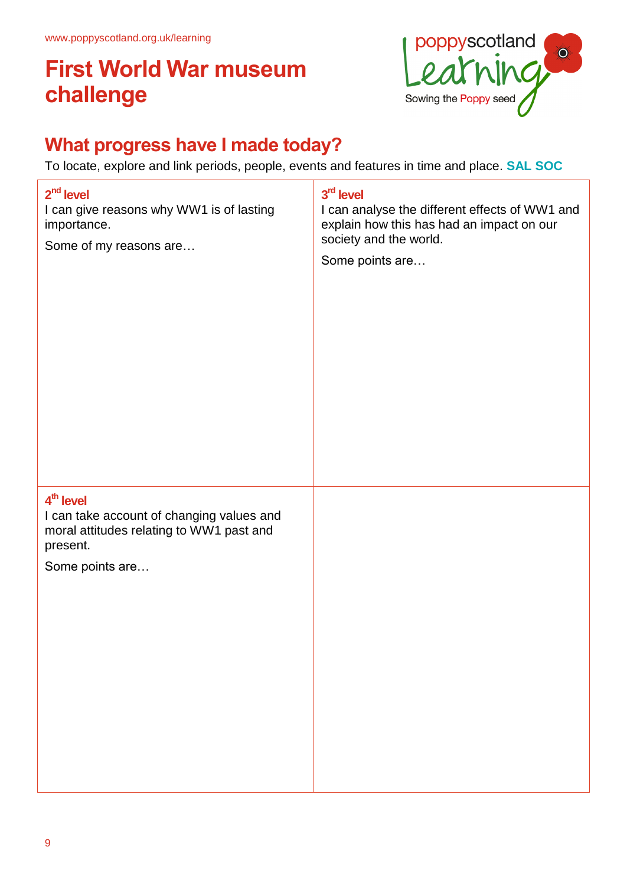

## **What progress have I made today?**

To locate, explore and link periods, people, events and features in time and place. **SAL SOC**

| $2nd$ level<br>I can give reasons why WW1 is of lasting<br>importance.<br>Some of my reasons are                                              | 3rd level<br>I can analyse the different effects of WW1 and<br>explain how this has had an impact on our<br>society and the world.<br>Some points are |
|-----------------------------------------------------------------------------------------------------------------------------------------------|-------------------------------------------------------------------------------------------------------------------------------------------------------|
| 4 <sup>th</sup> level<br>I can take account of changing values and<br>moral attitudes relating to WW1 past and<br>present.<br>Some points are |                                                                                                                                                       |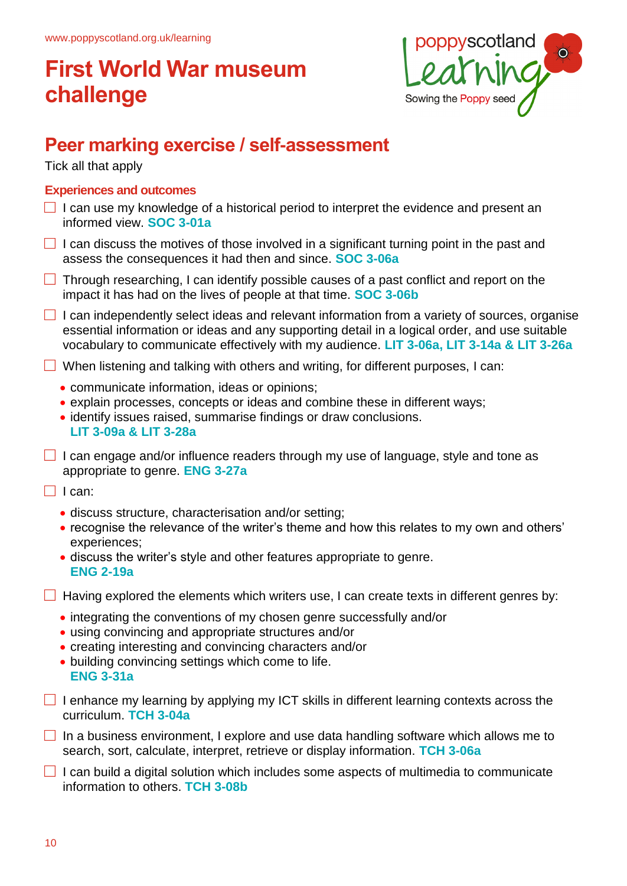

## **Peer marking exercise / self-assessment**

Tick all that apply

### **Experiences and outcomes**

- $\Box$  I can use my knowledge of a historical period to interpret the evidence and present an informed view. **SOC 3-01a**
- $\Box$  I can discuss the motives of those involved in a significant turning point in the past and assess the consequences it had then and since. **SOC 3-06a**
- $\Box$  Through researching, I can identify possible causes of a past conflict and report on the impact it has had on the lives of people at that time. **SOC 3-06b**
- $\Box$  I can independently select ideas and relevant information from a variety of sources, organise essential information or ideas and any supporting detail in a logical order, and use suitable vocabulary to communicate effectively with my audience. **LIT 3-06a, LIT 3-14a & LIT 3-26a**

 $\Box$  When listening and talking with others and writing, for different purposes, I can:

- communicate information, ideas or opinions;
- explain processes, concepts or ideas and combine these in different ways;
- identify issues raised, summarise findings or draw conclusions. **LIT 3-09a & LIT 3-28a**
- $\Box$  I can engage and/or influence readers through my use of language, style and tone as appropriate to genre. **ENG 3-27a**

 $\Box$  I can:

- discuss structure, characterisation and/or setting;
- recognise the relevance of the writer's theme and how this relates to my own and others' experiences;
- discuss the writer's style and other features appropriate to genre. **ENG 2-19a**

 $\Box$  Having explored the elements which writers use, I can create texts in different genres by:

- integrating the conventions of my chosen genre successfully and/or
- using convincing and appropriate structures and/or
- creating interesting and convincing characters and/or
- building convincing settings which come to life. **ENG 3-31a**
- $\Box$  I enhance my learning by applying my ICT skills in different learning contexts across the curriculum. **TCH 3-04a**
- $\Box$  In a business environment, I explore and use data handling software which allows me to search, sort, calculate, interpret, retrieve or display information. **TCH 3-06a**
- $\Box$  I can build a digital solution which includes some aspects of multimedia to communicate information to others. **TCH 3-08b**